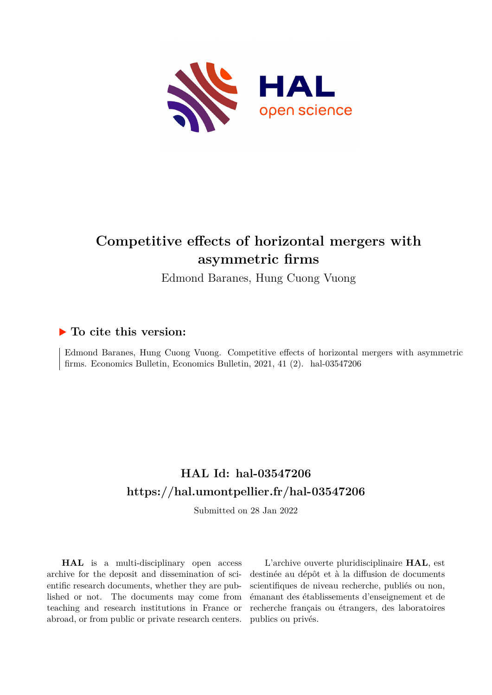

# **Competitive effects of horizontal mergers with asymmetric firms**

Edmond Baranes, Hung Cuong Vuong

#### **To cite this version:**

Edmond Baranes, Hung Cuong Vuong. Competitive effects of horizontal mergers with asymmetric firms. Economics Bulletin, Economics Bulletin,  $2021$ ,  $41$   $(2)$ . hal-03547206

### **HAL Id: hal-03547206 <https://hal.umontpellier.fr/hal-03547206>**

Submitted on 28 Jan 2022

**HAL** is a multi-disciplinary open access archive for the deposit and dissemination of scientific research documents, whether they are published or not. The documents may come from teaching and research institutions in France or abroad, or from public or private research centers.

L'archive ouverte pluridisciplinaire **HAL**, est destinée au dépôt et à la diffusion de documents scientifiques de niveau recherche, publiés ou non, émanant des établissements d'enseignement et de recherche français ou étrangers, des laboratoires publics ou privés.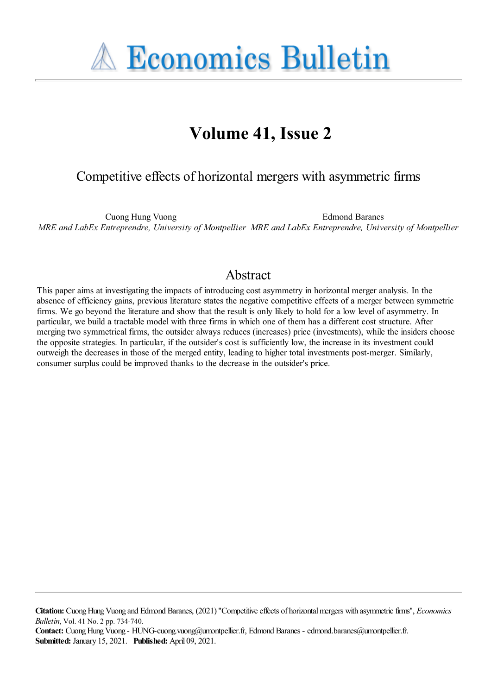**A Economics Bulletin** 

# **Volume 41, Issue 2**

#### Competitive effects of horizontal mergers with asymmetric firms

Cuong Hung Vuong *MRE and LabEx Entreprendre, University of Montpellier MRE and LabEx Entreprendre, University of Montpellier* Edmond Baranes

#### Abstract

This paper aims at investigating the impacts of introducing cost asymmetry in horizontal merger analysis. In the absence of efficiency gains, previous literature states the negative competitive effects of a merger between symmetric firms. We go beyond the literature and show that the result is only likely to hold for a low level of asymmetry. In particular, we build a tractable model with three firms in which one of them has a different cost structure. After merging two symmetrical firms, the outsider always reduces (increases) price (investments), while the insiders choose the opposite strategies. In particular, if the outsider's cost is sufficiently low, the increase in its investment could outweigh the decreases in those of the merged entity, leading to higher total investments post-merger. Similarly, consumer surplus could be improved thanks to the decrease in the outsider's price.

Citation: Cuong Hung Vuong and Edmond Baranes, (2021) "Competitive effects of horizontal mergers with asymmetric firms", *Economics Bulletin*, Vol. 41 No. 2 pp. 734-740.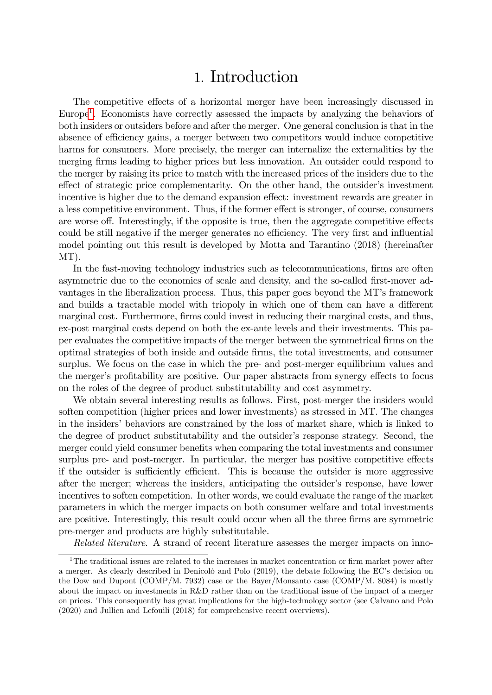### 1. Introduction

The competitive effects of a horizontal merger have been increasingly discussed in Europe<sup>[1](#page--1-0)</sup>. Economists have correctly assessed the impacts by analyzing the behaviors of both insiders or outsiders before and after the merger. One general conclusion is that in the absence of efficiency gains, a merger between two competitors would induce competitive harms for consumers. More precisely, the merger can internalize the externalities by the merging firms leading to higher prices but less innovation. An outsider could respond to the merger by raising its price to match with the increased prices of the insiders due to the effect of strategic price complementarity. On the other hand, the outsider's investment incentive is higher due to the demand expansion effect: investment rewards are greater in a less competitive environment. Thus, if the former effect is stronger, of course, consumers are worse off. Interestingly, if the opposite is true, then the aggregate competitive effects could be still negative if the merger generates no efficiency. The very first and influential model pointing out this result is developed by Motta and Tarantino (2018) (hereinafter MT).

In the fast-moving technology industries such as telecommunications, firms are often asymmetric due to the economics of scale and density, and the so-called first-mover advantages in the liberalization process. Thus, this paper goes beyond the MT's framework and builds a tractable model with triopoly in which one of them can have a different marginal cost. Furthermore, firms could invest in reducing their marginal costs, and thus, ex-post marginal costs depend on both the ex-ante levels and their investments. This paper evaluates the competitive impacts of the merger between the symmetrical firms on the optimal strategies of both inside and outside Örms, the total investments, and consumer surplus. We focus on the case in which the pre- and post-merger equilibrium values and the merger's profitability are positive. Our paper abstracts from synergy effects to focus on the roles of the degree of product substitutability and cost asymmetry.

We obtain several interesting results as follows. First, post-merger the insiders would soften competition (higher prices and lower investments) as stressed in MT. The changes in the insiders' behaviors are constrained by the loss of market share, which is linked to the degree of product substitutability and the outsider's response strategy. Second, the merger could yield consumer benefits when comparing the total investments and consumer surplus pre- and post-merger. In particular, the merger has positive competitive effects if the outsider is sufficiently efficient. This is because the outsider is more aggressive after the merger; whereas the insiders, anticipating the outsider's response, have lower incentives to soften competition. In other words, we could evaluate the range of the market parameters in which the merger impacts on both consumer welfare and total investments are positive. Interestingly, this result could occur when all the three firms are symmetric pre-merger and products are highly substitutable.

Related literature. A strand of recent literature assesses the merger impacts on inno-

<sup>&</sup>lt;sup>1</sup>The traditional issues are related to the increases in market concentration or firm market power after a merger. As clearly described in Denicolo and Polo (2019), the debate following the EC's decision on the Dow and Dupont (COMP/M. 7932) case or the Bayer/Monsanto case (COMP/M. 8084) is mostly about the impact on investments in R&D rather than on the traditional issue of the impact of a merger on prices. This consequently has great implications for the high-technology sector (see Calvano and Polo (2020) and Jullien and Lefouili (2018) for comprehensive recent overviews).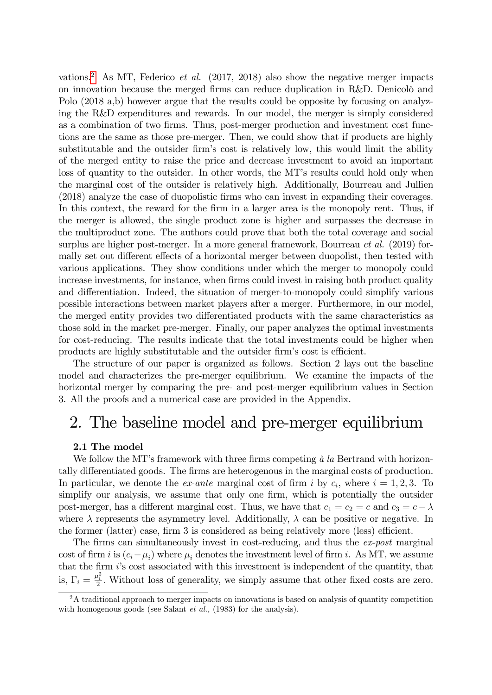vations.<sup>[2](#page--1-1)</sup> As MT, Federico et al.  $(2017, 2018)$  also show the negative merger impacts on innovation because the merged firms can reduce duplication in R&D. Denicolo and Polo (2018 a,b) however argue that the results could be opposite by focusing on analyzing the R&D expenditures and rewards. In our model, the merger is simply considered as a combination of two firms. Thus, post-merger production and investment cost functions are the same as those pre-merger. Then, we could show that if products are highly substitutable and the outsider firm's cost is relatively low, this would limit the ability of the merged entity to raise the price and decrease investment to avoid an important loss of quantity to the outsider. In other words, the MT's results could hold only when the marginal cost of the outsider is relatively high. Additionally, Bourreau and Jullien (2018) analyze the case of duopolistic Örms who can invest in expanding their coverages. In this context, the reward for the firm in a larger area is the monopoly rent. Thus, if the merger is allowed, the single product zone is higher and surpasses the decrease in the multiproduct zone. The authors could prove that both the total coverage and social surplus are higher post-merger. In a more general framework, Bourreau *et al.* (2019) formally set out different effects of a horizontal merger between duopolist, then tested with various applications. They show conditions under which the merger to monopoly could increase investments, for instance, when firms could invest in raising both product quality and differentiation. Indeed, the situation of merger-to-monopoly could simplify various possible interactions between market players after a merger. Furthermore, in our model, the merged entity provides two differentiated products with the same characteristics as those sold in the market pre-merger. Finally, our paper analyzes the optimal investments for cost-reducing. The results indicate that the total investments could be higher when products are highly substitutable and the outsider firm's cost is efficient.

The structure of our paper is organized as follows. Section 2 lays out the baseline model and characterizes the pre-merger equilibrium. We examine the impacts of the horizontal merger by comparing the pre- and post-merger equilibrium values in Section 3. All the proofs and a numerical case are provided in the Appendix.

## 2. The baseline model and pre-merger equilibrium

#### 2.1 The model

We follow the MT's framework with three firms competing  $\dot{a}$  la Bertrand with horizontally differentiated goods. The firms are heterogenous in the marginal costs of production. In particular, we denote the *ex-ante* marginal cost of firm i by  $c_i$ , where  $i = 1, 2, 3$ . To simplify our analysis, we assume that only one firm, which is potentially the outsider post-merger, has a different marginal cost. Thus, we have that  $c_1 = c_2 = c$  and  $c_3 = c - \lambda$ where  $\lambda$  represents the asymmetry level. Additionally,  $\lambda$  can be positive or negative. In the former (latter) case, firm  $3$  is considered as being relatively more (less) efficient.

The firms can simultaneously invest in cost-reducing, and thus the ex-post marginal cost of firm *i* is  $(c_i - \mu_i)$  where  $\mu_i$  denotes the investment level of firm *i*. As MT, we assume that the firm  $i$ 's cost associated with this investment is independent of the quantity, that is,  $\Gamma_i = \frac{\mu_i^2}{2}$ . Without loss of generality, we simply assume that other fixed costs are zero.

 $2A$  traditional approach to merger impacts on innovations is based on analysis of quantity competition with homogenous goods (see Salant *et al.*, (1983) for the analysis).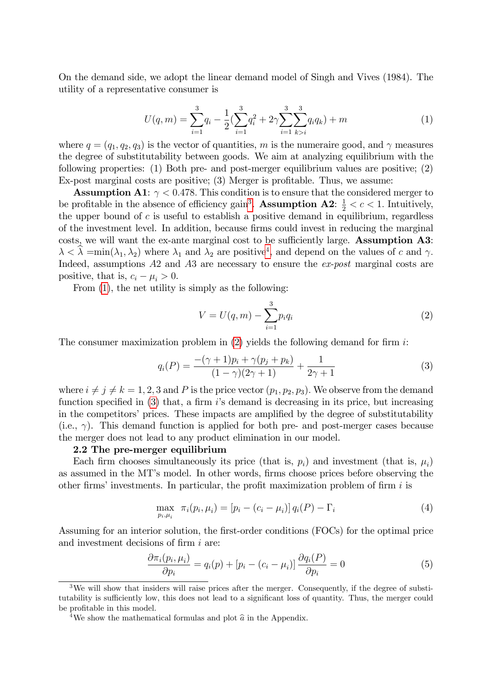On the demand side, we adopt the linear demand model of Singh and Vives (1984). The utility of a representative consumer is

$$
U(q,m) = \sum_{i=1}^{3} q_i - \frac{1}{2} \left( \sum_{i=1}^{3} q_i^2 + 2\gamma \sum_{i=1}^{3} \sum_{k>i}^{3} q_i q_k \right) + m \tag{1}
$$

where  $q = (q_1, q_2, q_3)$  is the vector of quantities, m is the numeraire good, and  $\gamma$  measures the degree of substitutability between goods. We aim at analyzing equilibrium with the following properties: (1) Both pre- and post-merger equilibrium values are positive; (2)  $Ex$ -post marginal costs are positive; (3) Merger is profitable. Thus, we assume:

**Assumption A1:**  $\gamma$  < 0.478. This condition is to ensure that the considered merger to be profitable in the absence of efficiency gain<sup>[3](#page--1-2)</sup>. **Assumption A2**:  $\frac{1}{2} < c < 1$ . Intuitively, the upper bound of  $c$  is useful to establish a positive demand in equilibrium, regardless of the investment level. In addition, because Örms could invest in reducing the marginal costs, we will want the ex-ante marginal cost to be sufficiently large. Assumption A3:  $\lambda < \lambda = \min(\lambda_1, \lambda_2)$  where  $\lambda_1$  and  $\lambda_2$  are positive<sup>[4](#page--1-3)</sup>, and depend on the values of c and  $\gamma$ . Indeed, assumptions A2 and A3 are necessary to ensure the ex-post marginal costs are positive, that is,  $c_i - \mu_i > 0$ .

From [\(1\)](#page--1-4), the net utility is simply as the following:

$$
V = U(q, m) - \sum_{i=1}^{3} p_i q_i
$$
 (2)

The consumer maximization problem in  $(2)$  yields the following demand for firm i:

$$
q_i(P) = \frac{-(\gamma + 1)p_i + \gamma(p_j + p_k)}{(1 - \gamma)(2\gamma + 1)} + \frac{1}{2\gamma + 1}
$$
(3)

where  $i \neq j \neq k = 1, 2, 3$  and P is the price vector  $(p_1, p_2, p_3)$ . We observe from the demand function specified in  $(3)$  that, a firm is demand is decreasing in its price, but increasing in the competitors' prices. These impacts are amplified by the degree of substitutability  $(i.e., \gamma)$ . This demand function is applied for both pre- and post-merger cases because the merger does not lead to any product elimination in our model.

#### 2.2 The pre-merger equilibrium

Each firm chooses simultaneously its price (that is,  $p_i$ ) and investment (that is,  $\mu_i$ ) as assumed in the MT's model. In other words, firms choose prices before observing the other firms' investments. In particular, the profit maximization problem of firm  $i$  is

$$
\max_{p_i, \mu_i} \ \pi_i(p_i, \mu_i) = [p_i - (c_i - \mu_i)] \, q_i(P) - \Gamma_i \tag{4}
$$

Assuming for an interior solution, the first-order conditions (FOCs) for the optimal price and investment decisions of firm  $i$  are:

$$
\frac{\partial \pi_i(p_i, \mu_i)}{\partial p_i} = q_i(p) + [p_i - (c_i - \mu_i)] \frac{\partial q_i(P)}{\partial p_i} = 0 \tag{5}
$$

<sup>&</sup>lt;sup>3</sup>We will show that insiders will raise prices after the merger. Consequently, if the degree of substitutability is sufficiently low, this does not lead to a significant loss of quantity. Thus, the merger could be profitable in this model.

<sup>&</sup>lt;sup>4</sup>We show the mathematical formulas and plot  $\hat{a}$  in the Appendix.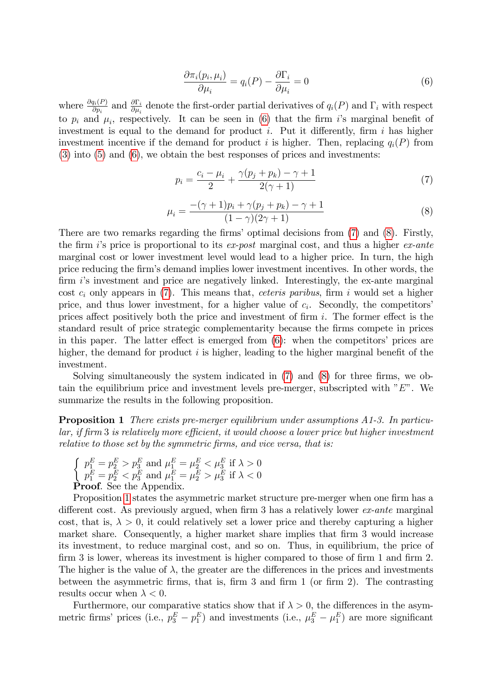$$
\frac{\partial \pi_i(p_i, \mu_i)}{\partial \mu_i} = q_i(P) - \frac{\partial \Gamma_i}{\partial \mu_i} = 0 \tag{6}
$$

where  $\frac{\partial q_i(P)}{\partial p_i}$  and  $\frac{\partial \Gamma_i}{\partial \mu_i}$  denote the first-order partial derivatives of  $q_i(P)$  and  $\Gamma_i$  with respect to  $p_i$  and  $\mu_i$ , respectively. It can be seen in [\(6\)](#page--1-7) that the firm i's marginal benefit of investment is equal to the demand for product i. Put it differently, firm i has higher investment incentive if the demand for product i is higher. Then, replacing  $q_i(P)$  from [\(3\)](#page--1-6) into [\(5\)](#page--1-8) and [\(6\)](#page--1-7), we obtain the best responses of prices and investments:

$$
p_i = \frac{c_i - \mu_i}{2} + \frac{\gamma(p_j + p_k) - \gamma + 1}{2(\gamma + 1)}
$$
(7)

$$
\mu_i = \frac{- (\gamma + 1)p_i + \gamma (p_j + p_k) - \gamma + 1}{(1 - \gamma)(2\gamma + 1)}\tag{8}
$$

There are two remarks regarding the firms' optimal decisions from  $(7)$  and  $(8)$ . Firstly, the firm is price is proportional to its ex-post marginal cost, and thus a higher ex-ante marginal cost or lower investment level would lead to a higher price. In turn, the high price reducing the firm's demand implies lower investment incentives. In other words, the firm  $i$ 's investment and price are negatively linked. Interestingly, the ex-ante marginal cost  $c_i$  only appears in [\(7\)](#page--1-9). This means that, *ceteris paribus*, firm i would set a higher price, and thus lower investment, for a higher value of  $c_i$ . Secondly, the competitors' prices affect positively both the price and investment of firm  $i$ . The former effect is the standard result of price strategic complementarity because the Örms compete in prices in this paper. The latter effect is emerged from  $(6)$ : when the competitors' prices are higher, the demand for product  $i$  is higher, leading to the higher marginal benefit of the investment.

Solving simultaneously the system indicated in  $(7)$  and  $(8)$  for three firms, we obtain the equilibrium price and investment levels pre-merger, subscripted with  $E$ ". We summarize the results in the following proposition.

Proposition 1 There exists pre-merger equilibrium under assumptions A1-3. In particu $lar, if firm 3 is relatively more efficient, it would choose a lower price but higher investment$ relative to those set by the symmetric firms, and vice versa, that is:

$$
\left\{ \begin{array}{l} p_1^E = p_2^E > p_3^E \text{ and } \mu_1^E = \mu_2^E < \mu_3^E \text{ if } \lambda > 0 \\ p_1^E = p_2^E < p_3^E \text{ and } \mu_1^E = \mu_2^E > \mu_3^E \text{ if } \lambda < 0 \end{array} \right.
$$
 **Proof.** See the Appendix.

Proposition [1](#page--1-11) states the asymmetric market structure pre-merger when one firm has a different cost. As previously argued, when firm 3 has a relatively lower  $ex\text{-}ante$  marginal cost, that is,  $\lambda > 0$ , it could relatively set a lower price and thereby capturing a higher market share. Consequently, a higher market share implies that firm 3 would increase its investment, to reduce marginal cost, and so on. Thus, in equilibrium, the price of firm 3 is lower, whereas its investment is higher compared to those of firm 1 and firm 2. The higher is the value of  $\lambda$ , the greater are the differences in the prices and investments between the asymmetric firms, that is, firm 3 and firm 1 (or firm 2). The contrasting results occur when  $\lambda < 0$ .

Furthermore, our comparative statics show that if  $\lambda > 0$ , the differences in the asymmetric firms' prices (i.e.,  $p_3^E - p_1^E$ ) and investments (i.e.,  $\mu_3^E - \mu_1^E$ ) are more significant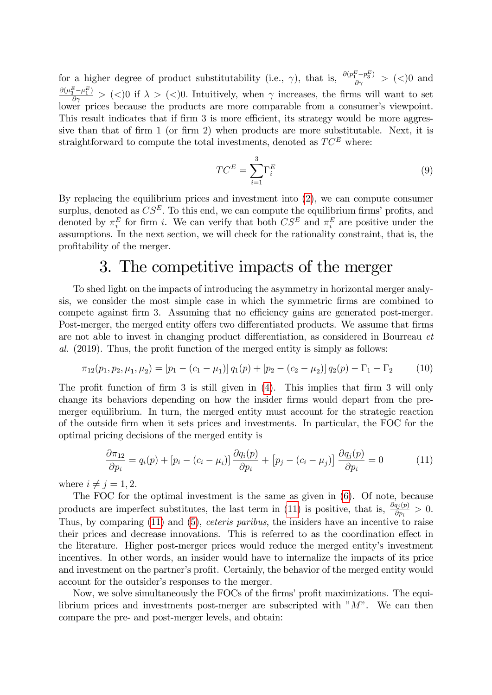for a higher degree of product substitutability (i.e.,  $\gamma$ ), that is,  $\frac{\partial (p_1^E - p_3^E)}{\partial \gamma} > (<)0$  and  $\frac{\partial(\mu_3^E - \mu_1^E)}{\partial \gamma} > (\langle 0, 0 \rangle)$  if  $\lambda > (\langle 0, 0, 0 \rangle)$ . Intuitively, when  $\gamma$  increases, the firms will want to set lower prices because the products are more comparable from a consumer's viewpoint. This result indicates that if firm 3 is more efficient, its strategy would be more aggressive than that of firm 1 (or firm 2) when products are more substitutable. Next, it is straightforward to compute the total investments, denoted as  $TC^E$  where:

$$
TC^E = \sum_{i=1}^{3} \Gamma_i^E \tag{9}
$$

By replacing the equilibrium prices and investment into [\(2\)](#page--1-5), we can compute consumer surplus, denoted as  $CS^E$ . To this end, we can compute the equilibrium firms' profits, and denoted by  $\pi_i^E$  for firm *i*. We can verify that both  $CS^E$  and  $\pi_i^E$  are positive under the assumptions. In the next section, we will check for the rationality constraint, that is, the profitability of the merger.

## 3. The competitive impacts of the merger

To shed light on the impacts of introducing the asymmetry in horizontal merger analysis, we consider the most simple case in which the symmetric Örms are combined to compete against firm 3. Assuming that no efficiency gains are generated post-merger. Post-merger, the merged entity offers two differentiated products. We assume that firms are not able to invest in changing product differentiation, as considered in Bourreau et  $al.$  (2019). Thus, the profit function of the merged entity is simply as follows:

$$
\pi_{12}(p_1, p_2, \mu_1, \mu_2) = [p_1 - (c_1 - \mu_1)] q_1(p) + [p_2 - (c_2 - \mu_2)] q_2(p) - \Gamma_1 - \Gamma_2 \tag{10}
$$

The profit function of firm  $3$  is still given in  $(4)$ . This implies that firm  $3$  will only change its behaviors depending on how the insider firms would depart from the premerger equilibrium. In turn, the merged entity must account for the strategic reaction of the outside Örm when it sets prices and investments. In particular, the FOC for the optimal pricing decisions of the merged entity is

$$
\frac{\partial \pi_{12}}{\partial p_i} = q_i(p) + [p_i - (c_i - \mu_i)] \frac{\partial q_i(p)}{\partial p_i} + [p_j - (c_i - \mu_j)] \frac{\partial q_j(p)}{\partial p_i} = 0 \tag{11}
$$

where  $i \neq j = 1, 2$ .

The FOC for the optimal investment is the same as given in [\(6\)](#page--1-7). Of note, because products are imperfect substitutes, the last term in [\(11\)](#page--1-13) is positive, that is,  $\frac{\partial q_j(p)}{\partial p_i} > 0$ . Thus, by comparing [\(11\)](#page--1-13) and [\(5\)](#page--1-8), *ceteris paribus*, the insiders have an incentive to raise their prices and decrease innovations. This is referred to as the coordination effect in the literature. Higher post-merger prices would reduce the merged entity's investment incentives. In other words, an insider would have to internalize the impacts of its price and investment on the partner's profit. Certainly, the behavior of the merged entity would account for the outsider's responses to the merger.

Now, we solve simultaneously the FOCs of the firms' profit maximizations. The equilibrium prices and investments post-merger are subscripted with " $M$ ". We can then compare the pre- and post-merger levels, and obtain: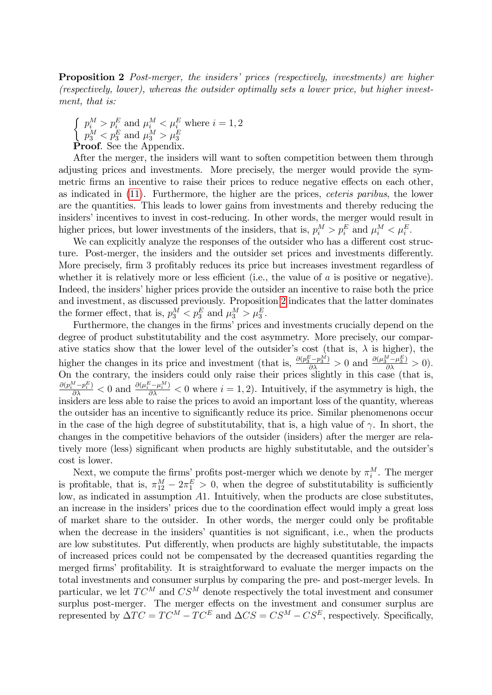**Proposition 2** Post-merger, the insiders' prices (respectively, investments) are higher (respectively, lower), whereas the outsider optimally sets a lower price, but higher investment, that is:

 $\int p_i^M > p_i^E$  and  $\mu_i^M < \mu_i^E$  where  $i = 1, 2$  $\begin{cases} p_3^M < p_3^E \text{ and } \mu_3^M > \mu_3^E \ \textbf{Proof.} \text{ See the Appendix.} \end{cases}$ 

After the merger, the insiders will want to soften competition between them through adjusting prices and investments. More precisely, the merger would provide the symmetric firms an incentive to raise their prices to reduce negative effects on each other, as indicated in [\(11\)](#page--1-13). Furthermore, the higher are the prices, ceteris paribus, the lower are the quantities. This leads to lower gains from investments and thereby reducing the insiders' incentives to invest in cost-reducing. In other words, the merger would result in higher prices, but lower investments of the insiders, that is,  $p_i^M > p_i^E$  and  $\mu_i^M < \mu_i^E$ .

We can explicitly analyze the responses of the outsider who has a different cost structure. Post-merger, the insiders and the outsider set prices and investments differently. More precisely, firm 3 profitably reduces its price but increases investment regardless of whether it is relatively more or less efficient (i.e., the value of  $a$  is positive or negative). Indeed, the insiders' higher prices provide the outsider an incentive to raise both the price and investment, as discussed previously. Proposition [2](#page--1-14) indicates that the latter dominates the former effect, that is,  $p_3^M < p_3^E$  and  $\mu_3^M > \mu_3^E$ .

Furthermore, the changes in the firms' prices and investments crucially depend on the degree of product substitutability and the cost asymmetry. More precisely, our comparative statics show that the lower level of the outsider's cost (that is,  $\lambda$  is higher), the higher the changes in its price and investment (that is,  $\frac{\partial (p_3^E - p_3^M)}{\partial \lambda} > 0$  and  $\frac{\partial (\mu_3^M - \mu_3^E)}{\partial \lambda} > 0$ ). On the contrary, the insiders could only raise their prices slightly in this case (that is,  $\frac{\partial (p_i^M - p_i^E)}{\partial \lambda} < 0$  and  $\frac{\partial (\mu_i^E - \mu_i^M)}{\partial \lambda} < 0$  where  $i = 1, 2$ ). Intuitively, if the asymmetry is high, the insiders are less able to raise the prices to avoid an important loss of the quantity, whereas the outsider has an incentive to significantly reduce its price. Similar phenomenons occur in the case of the high degree of substitutability, that is, a high value of  $\gamma$ . In short, the changes in the competitive behaviors of the outsider (insiders) after the merger are relatively more (less) significant when products are highly substitutable, and the outsider's cost is lower.

Next, we compute the firms' profits post-merger which we denote by  $\pi_i^M$ . The merger is profitable, that is,  $\pi_{12}^M - 2\pi_1^E > 0$ , when the degree of substitutability is sufficiently low, as indicated in assumption A1. Intuitively, when the products are close substitutes, an increase in the insiders' prices due to the coordination effect would imply a great loss of market share to the outsider. In other words, the merger could only be profitable when the decrease in the insiders' quantities is not significant, i.e., when the products are low substitutes. Put differently, when products are highly substitutable, the impacts of increased prices could not be compensated by the decreased quantities regarding the merged firms' profitability. It is straightforward to evaluate the merger impacts on the total investments and consumer surplus by comparing the pre- and post-merger levels. In particular, we let  $TC^M$  and  $CS^M$  denote respectively the total investment and consumer surplus post-merger. The merger effects on the investment and consumer surplus are represented by  $\Delta TC = TC^M - TC^E$  and  $\Delta CS = CS^M - CS^E$ , respectively. Specifically,